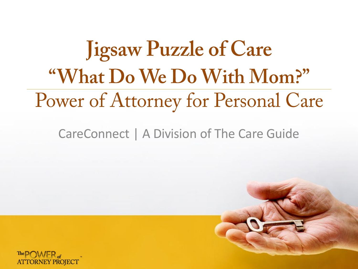# **Jigsaw Puzzle of Care** "What Do We Do With Mom?" Power of Attorney for Personal Care

#### CareConnect | A Division of The Care Guide



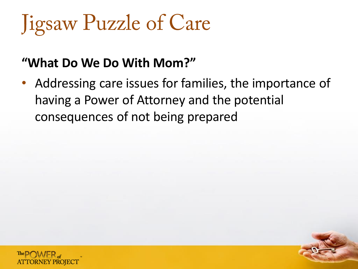# **Jigsaw Puzzle of Care**

#### **"What Do We Do With Mom?"**

• Addressing care issues for families, the importance of having a Power of Attorney and the potential consequences of not being prepared

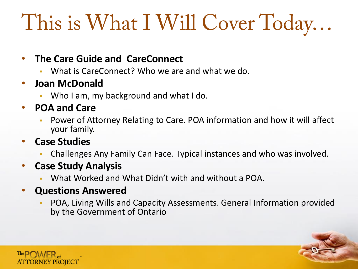# This is What I Will Cover Today...

- **The Care Guide and CareConnect**
	- What is CareConnect? Who we are and what we do.
- **Joan McDonald**
	- Who I am, my background and what I do.
- **POA and Care**
	- **Power of Attorney Relating to Care. POA information and how it will affect** your family.
- **Case Studies**
	- Challenges Any Family Can Face. Typical instances and who was involved.
- **Case Study Analysis**
	- What Worked and What Didn't with and without a POA.
- **Questions Answered**
	- POA, Living Wills and Capacity Assessments. General Information provided by the Government of Ontario

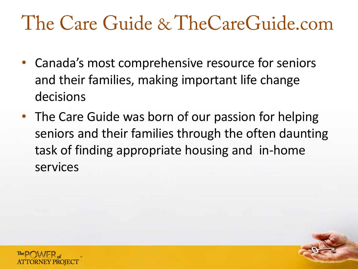### The Care Guide & The Care Guide.com

- Canada's most comprehensive resource for seniors and their families, making important life change decisions
- The Care Guide was born of our passion for helping seniors and their families through the often daunting task of finding appropriate housing and in-home services

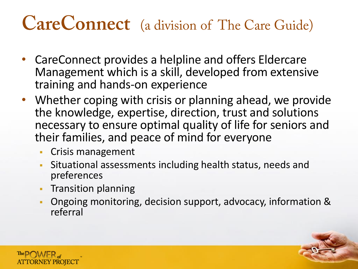### **CareConnect** (a division of The Care Guide)

- CareConnect provides a helpline and offers Eldercare Management which is a skill, developed from extensive training and hands-on experience
- Whether coping with crisis or planning ahead, we provide the knowledge, expertise, direction, trust and solutions necessary to ensure optimal quality of life for seniors and their families, and peace of mind for everyone
	- **Crisis management**
	- Situational assessments including health status, needs and preferences
	- **Transition planning**
	- Ongoing monitoring, decision support, advocacy, information & referral

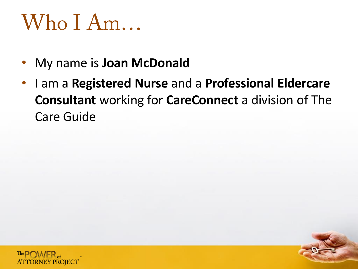### Who I Am...

- My name is **Joan McDonald**
- I am a **Registered Nurse** and a **Professional Eldercare Consultant** working for **CareConnect** a division of The Care Guide

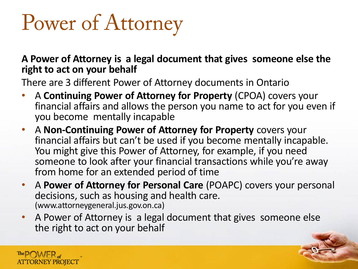# Power of Attorney

**A Power of Attorney is a legal document that gives someone else the right to act on your behalf**

There are 3 different Power of Attorney documents in Ontario

- A **Continuing Power of Attorney for Property** (CPOA) covers your financial affairs and allows the person you name to act for you even if you become mentally incapable
- A **Non-Continuing Power of Attorney for Property** covers your financial affairs but can't be used if you become mentally incapable. You might give this Power of Attorney, for example, if you need someone to look after your financial transactions while you're away from home for an extended period of time
- A **Power of Attorney for Personal Care** (POAPC) covers your personal decisions, such as housing and health care. (www.attorneygeneral.jus.gov.on.ca)
- A Power of Attorney is a legal document that gives someone else the right to act on your behalf

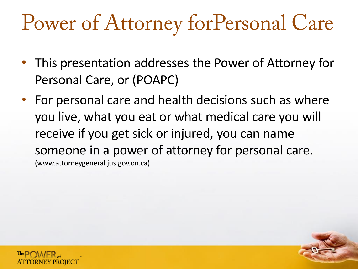# Power of Attorney forPersonal Care

- This presentation addresses the Power of Attorney for Personal Care, or (POAPC)
- For personal care and health decisions such as where you live, what you eat or what medical care you will receive if you get sick or injured, you can name someone in a power of attorney for personal care. (www.attorneygeneral.jus.gov.on.ca)

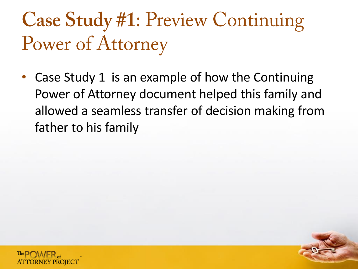### Case Study #1: Preview Continuing Power of Attorney

• Case Study 1 is an example of how the Continuing Power of Attorney document helped this family and allowed a seamless transfer of decision making from father to his family

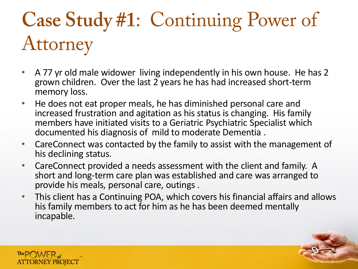### Case Study #1: Continuing Power of Attorney

- A 77 yr old male widower living independently in his own house. He has 2 grown children. Over the last 2 years he has had increased short-term memory loss.
- He does not eat proper meals, he has diminished personal care and increased frustration and agitation as his status is changing. His family members have initiated visits to a Geriatric Psychiatric Specialist which documented his diagnosis of mild to moderate Dementia .
- CareConnect was contacted by the family to assist with the management of his declining status.
- CareConnect provided a needs assessment with the client and family. A short and long-term care plan was established and care was arranged to provide his meals, personal care, outings .
- This client has a Continuing POA, which covers his financial affairs and allows his family members to act for him as he has been deemed mentally incapable.

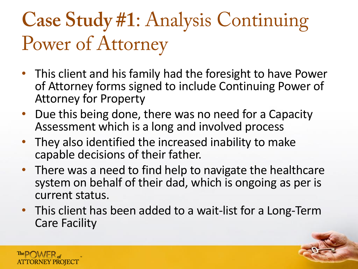### Case Study #1: Analysis Continuing Power of Attorney

- This client and his family had the foresight to have Power of Attorney forms signed to include Continuing Power of Attorney for Property
- Due this being done, there was no need for a Capacity Assessment which is a long and involved process
- They also identified the increased inability to make capable decisions of their father.
- There was a need to find help to navigate the healthcare system on behalf of their dad, which is ongoing as per is current status.
- This client has been added to a wait-list for a Long-Term Care Facility

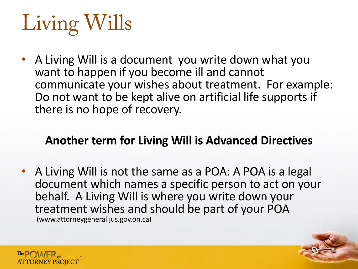# Living Wills

• A Living Will is a document you write down what you want to happen if you become ill and cannot communicate your wishes about treatment. For example: Do not want to be kept alive on artificial life supports if there is no hope of recovery.

#### **Another term for Living Will is Advanced Directives**

• A Living Will is not the same as a POA: A POA is a legal document which names a specific person to act on your behalf. A Living Will is where you write down your treatment wishes and should be part of your POA (www.attorneygeneral.jus.gov.on.ca)

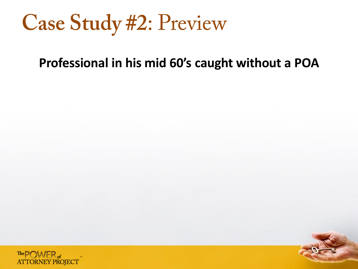### Case Study #2: Preview

#### **Professional in his mid 60's caught without a POA**

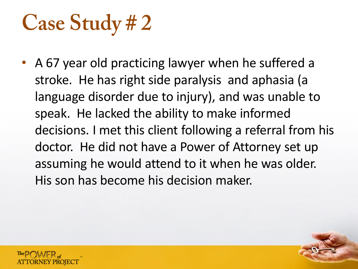### **Case Study #2**

• A 67 year old practicing lawyer when he suffered a stroke. He has right side paralysis and aphasia (a language disorder due to injury), and was unable to speak. He lacked the ability to make informed decisions. I met this client following a referral from his doctor. He did not have a Power of Attorney set up assuming he would attend to it when he was older. His son has become his decision maker.

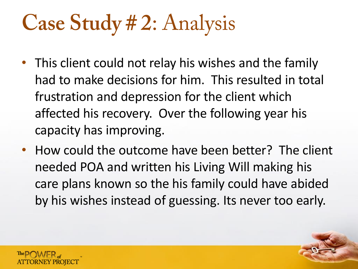### Case Study # 2: Analysis

- This client could not relay his wishes and the family had to make decisions for him. This resulted in total frustration and depression for the client which affected his recovery. Over the following year his capacity has improving.
- How could the outcome have been better? The client needed POA and written his Living Will making his care plans known so the his family could have abided by his wishes instead of guessing. Its never too early.

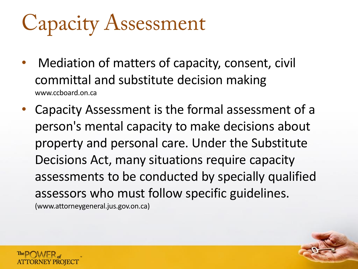# **Capacity Assessment**

- Mediation of matters of capacity, consent, civil committal and substitute decision making www.ccboard.on.ca
- Capacity Assessment is the formal assessment of a person's mental capacity to make decisions about property and personal care. Under the Substitute Decisions Act, many situations require capacity assessments to be conducted by specially qualified assessors who must follow specific guidelines. (www.attorneygeneral.jus.gov.on.ca)

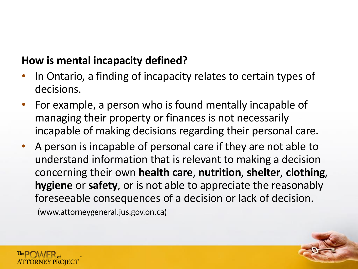#### **How is mental incapacity defined?**

- In Ontario, a finding of incapacity relates to certain types of decisions.
- For example, a person who is found mentally incapable of managing their property or finances is not necessarily incapable of making decisions regarding their personal care.
- A person is incapable of personal care if they are not able to understand information that is relevant to making a decision concerning their own **health care**, **nutrition**, **shelter**, **clothing**, **hygiene** or **safety**, or is not able to appreciate the reasonably foreseeable consequences of a decision or lack of decision. (www.attorneygeneral.jus.gov.on.ca)

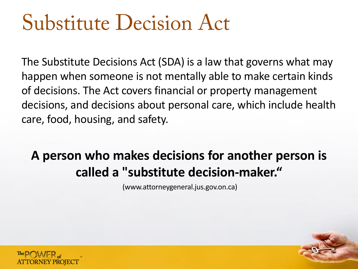### **Substitute Decision Act**

The Substitute Decisions Act (SDA) is a law that governs what may happen when someone is not mentally able to make certain kinds of decisions. The Act covers financial or property management decisions, and decisions about personal care, which include health care, food, housing, and safety.

#### **A person who makes decisions for another person is called a "substitute decision-maker."**

(www.attorneygeneral.jus.gov.on.ca)

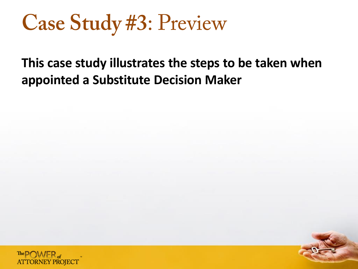### Case Study #3: Preview

**This case study illustrates the steps to be taken when appointed a Substitute Decision Maker**

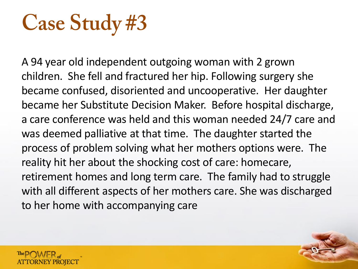### **Case Study #3**

A 94 year old independent outgoing woman with 2 grown children. She fell and fractured her hip. Following surgery she became confused, disoriented and uncooperative. Her daughter became her Substitute Decision Maker. Before hospital discharge, a care conference was held and this woman needed 24/7 care and was deemed palliative at that time. The daughter started the process of problem solving what her mothers options were. The reality hit her about the shocking cost of care: homecare, retirement homes and long term care. The family had to struggle with all different aspects of her mothers care. She was discharged to her home with accompanying care

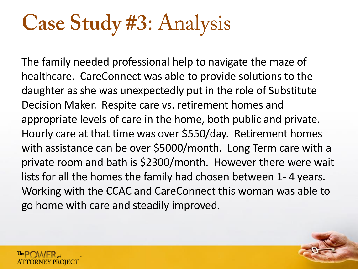### Case Study #3: Analysis

The family needed professional help to navigate the maze of healthcare. CareConnect was able to provide solutions to the daughter as she was unexpectedly put in the role of Substitute Decision Maker. Respite care vs. retirement homes and appropriate levels of care in the home, both public and private. Hourly care at that time was over \$550/day. Retirement homes with assistance can be over \$5000/month. Long Term care with a private room and bath is \$2300/month. However there were wait lists for all the homes the family had chosen between 1- 4 years. Working with the CCAC and CareConnect this woman was able to go home with care and steadily improved.

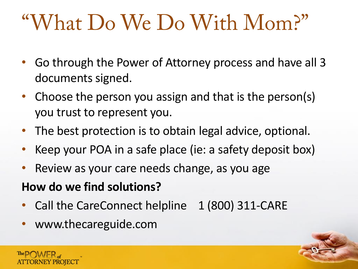### "What Do We Do With Mom?"

- Go through the Power of Attorney process and have all 3 documents signed.
- Choose the person you assign and that is the person(s) you trust to represent you.
- The best protection is to obtain legal advice, optional.
- Keep your POA in a safe place (ie: a safety deposit box)
- Review as your care needs change, as you age

#### **How do we find solutions?**

- Call the CareConnect helpline 1 (800) 311-CARE
- www.thecareguide.com

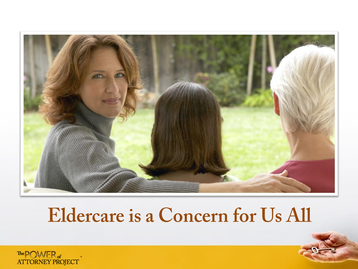

### Eldercare is a Concern for Us All